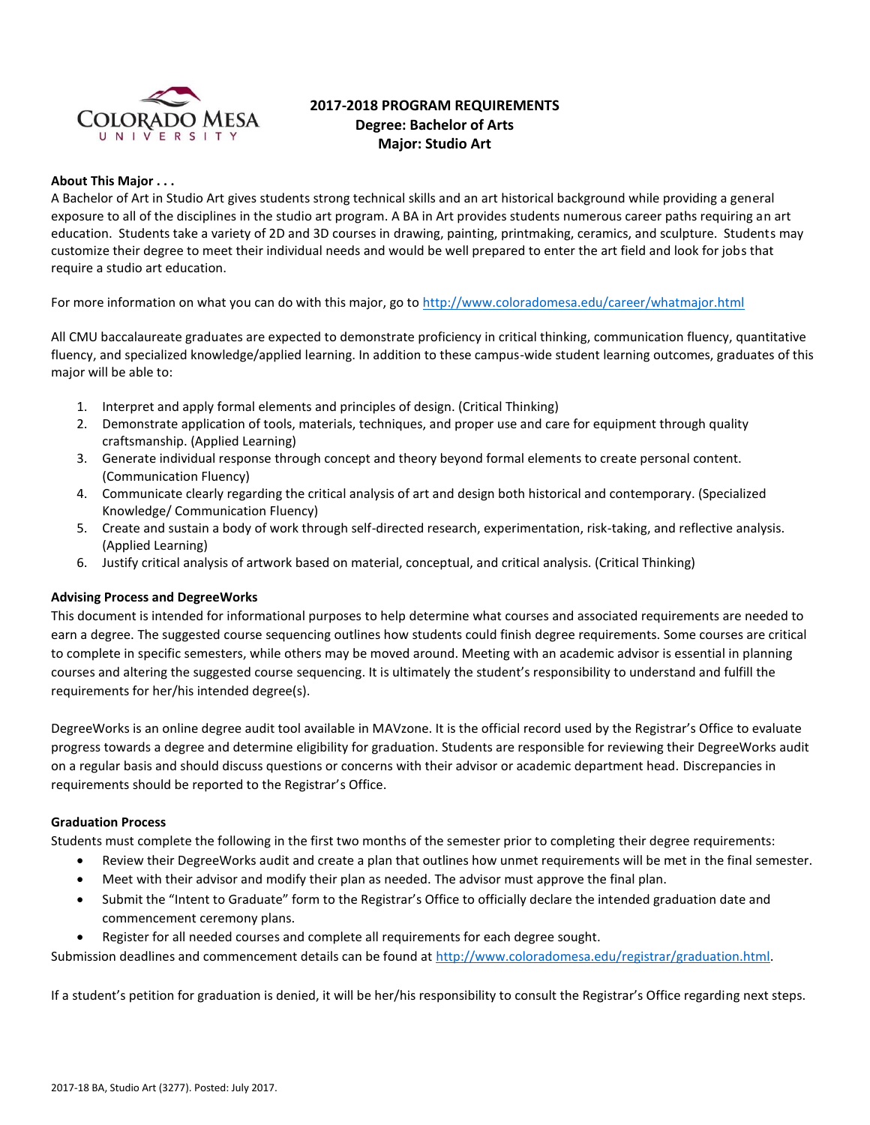

# **2017-2018 PROGRAM REQUIREMENTS Degree: Bachelor of Arts Major: Studio Art**

#### **About This Major . . .**

A Bachelor of Art in Studio Art gives students strong technical skills and an art historical background while providing a general exposure to all of the disciplines in the studio art program. A BA in Art provides students numerous career paths requiring an art education. Students take a variety of 2D and 3D courses in drawing, painting, printmaking, ceramics, and sculpture. Students may customize their degree to meet their individual needs and would be well prepared to enter the art field and look for jobs that require a studio art education.

For more information on what you can do with this major, go t[o http://www.coloradomesa.edu/career/whatmajor.html](http://www.coloradomesa.edu/career/whatmajor.html)

All CMU baccalaureate graduates are expected to demonstrate proficiency in critical thinking, communication fluency, quantitative fluency, and specialized knowledge/applied learning. In addition to these campus-wide student learning outcomes, graduates of this major will be able to:

- 1. Interpret and apply formal elements and principles of design. (Critical Thinking)
- 2. Demonstrate application of tools, materials, techniques, and proper use and care for equipment through quality craftsmanship. (Applied Learning)
- 3. Generate individual response through concept and theory beyond formal elements to create personal content. (Communication Fluency)
- 4. Communicate clearly regarding the critical analysis of art and design both historical and contemporary. (Specialized Knowledge/ Communication Fluency)
- 5. Create and sustain a body of work through self-directed research, experimentation, risk-taking, and reflective analysis. (Applied Learning)
- 6. Justify critical analysis of artwork based on material, conceptual, and critical analysis. (Critical Thinking)

# **Advising Process and DegreeWorks**

This document is intended for informational purposes to help determine what courses and associated requirements are needed to earn a degree. The suggested course sequencing outlines how students could finish degree requirements. Some courses are critical to complete in specific semesters, while others may be moved around. Meeting with an academic advisor is essential in planning courses and altering the suggested course sequencing. It is ultimately the student's responsibility to understand and fulfill the requirements for her/his intended degree(s).

DegreeWorks is an online degree audit tool available in MAVzone. It is the official record used by the Registrar's Office to evaluate progress towards a degree and determine eligibility for graduation. Students are responsible for reviewing their DegreeWorks audit on a regular basis and should discuss questions or concerns with their advisor or academic department head. Discrepancies in requirements should be reported to the Registrar's Office.

#### **Graduation Process**

Students must complete the following in the first two months of the semester prior to completing their degree requirements:

- Review their DegreeWorks audit and create a plan that outlines how unmet requirements will be met in the final semester.
- Meet with their advisor and modify their plan as needed. The advisor must approve the final plan.
- Submit the "Intent to Graduate" form to the Registrar's Office to officially declare the intended graduation date and commencement ceremony plans.
- Register for all needed courses and complete all requirements for each degree sought.

Submission deadlines and commencement details can be found at [http://www.coloradomesa.edu/registrar/graduation.html.](http://www.coloradomesa.edu/registrar/graduation.html)

If a student's petition for graduation is denied, it will be her/his responsibility to consult the Registrar's Office regarding next steps.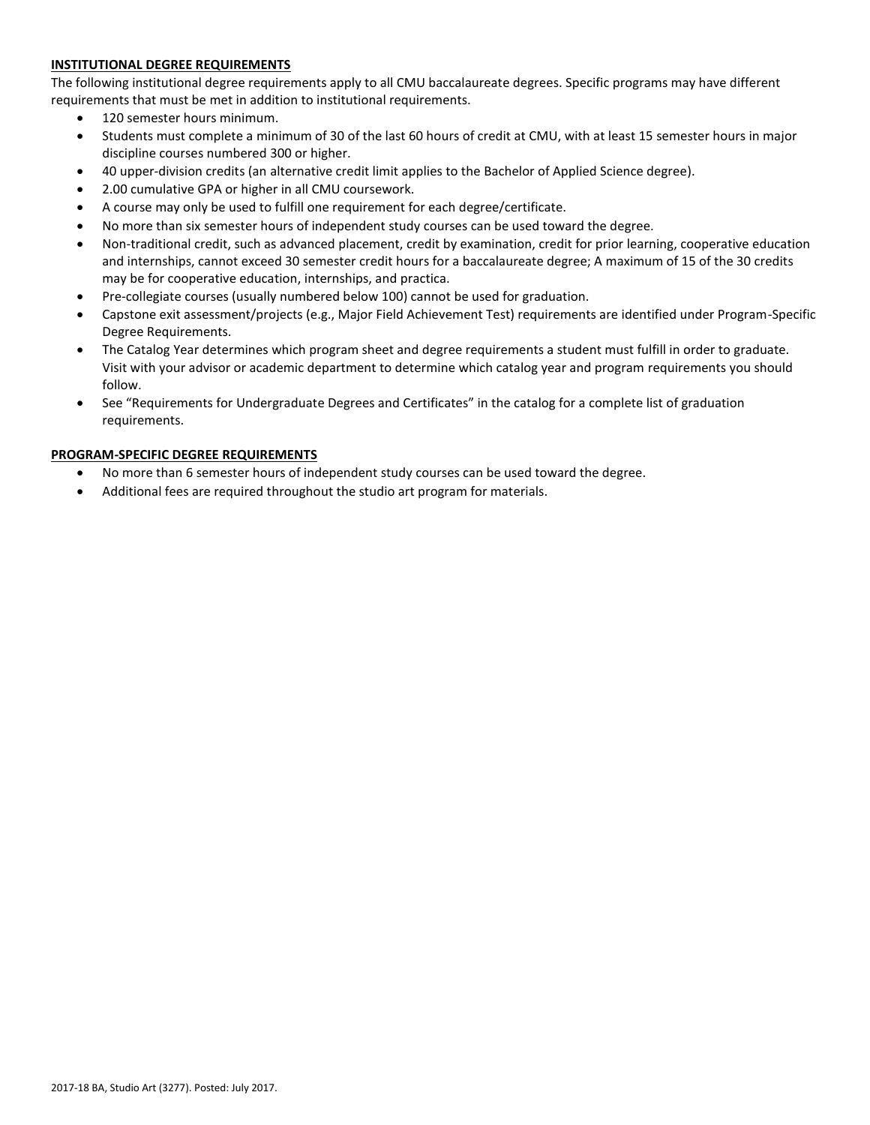# **INSTITUTIONAL DEGREE REQUIREMENTS**

The following institutional degree requirements apply to all CMU baccalaureate degrees. Specific programs may have different requirements that must be met in addition to institutional requirements.

- 120 semester hours minimum.
- Students must complete a minimum of 30 of the last 60 hours of credit at CMU, with at least 15 semester hours in major discipline courses numbered 300 or higher.
- 40 upper-division credits (an alternative credit limit applies to the Bachelor of Applied Science degree).
- 2.00 cumulative GPA or higher in all CMU coursework.
- A course may only be used to fulfill one requirement for each degree/certificate.
- No more than six semester hours of independent study courses can be used toward the degree.
- Non-traditional credit, such as advanced placement, credit by examination, credit for prior learning, cooperative education and internships, cannot exceed 30 semester credit hours for a baccalaureate degree; A maximum of 15 of the 30 credits may be for cooperative education, internships, and practica.
- Pre-collegiate courses (usually numbered below 100) cannot be used for graduation.
- Capstone exit assessment/projects (e.g., Major Field Achievement Test) requirements are identified under Program-Specific Degree Requirements.
- The Catalog Year determines which program sheet and degree requirements a student must fulfill in order to graduate. Visit with your advisor or academic department to determine which catalog year and program requirements you should follow.
- See "Requirements for Undergraduate Degrees and Certificates" in the catalog for a complete list of graduation requirements.

# **PROGRAM-SPECIFIC DEGREE REQUIREMENTS**

- No more than 6 semester hours of independent study courses can be used toward the degree.
- Additional fees are required throughout the studio art program for materials.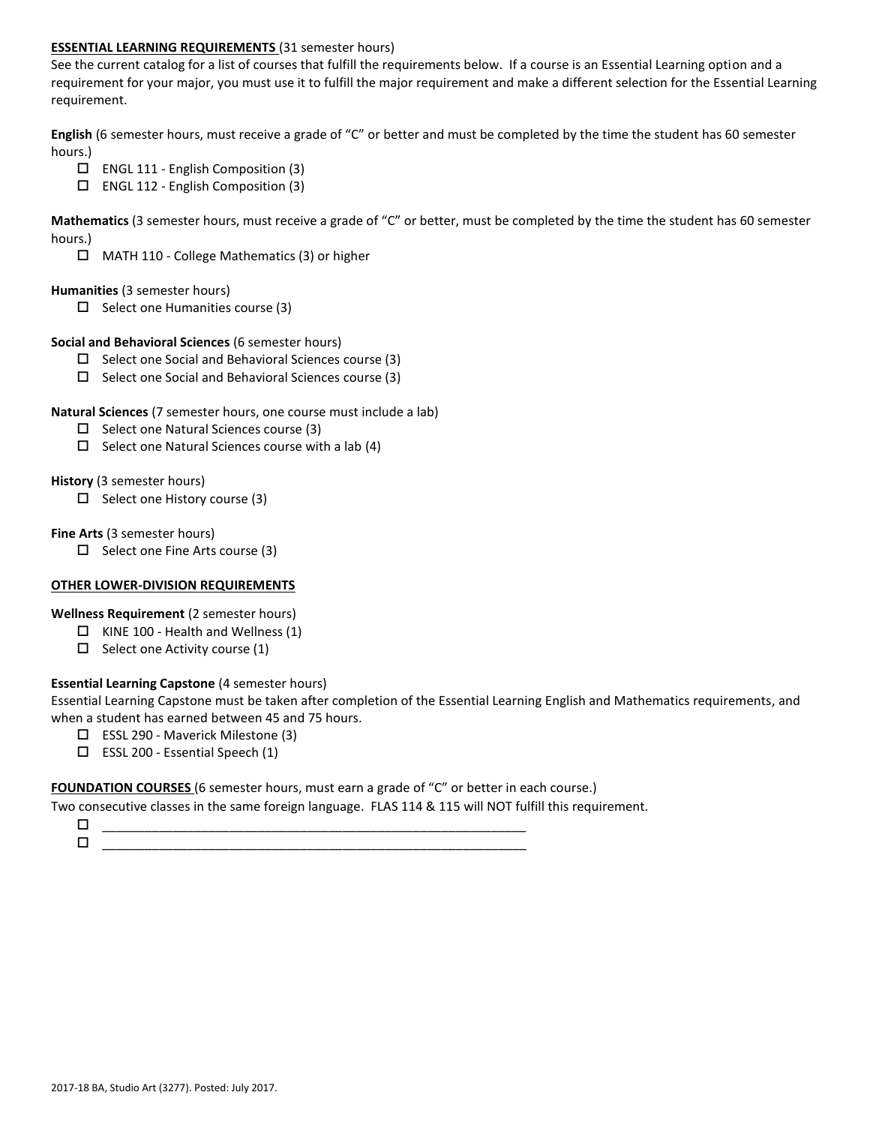## **ESSENTIAL LEARNING REQUIREMENTS** (31 semester hours)

See the current catalog for a list of courses that fulfill the requirements below. If a course is an Essential Learning option and a requirement for your major, you must use it to fulfill the major requirement and make a different selection for the Essential Learning requirement.

**English** (6 semester hours, must receive a grade of "C" or better and must be completed by the time the student has 60 semester hours.)

- $\Box$  ENGL 111 English Composition (3)
- ENGL 112 English Composition (3)

**Mathematics** (3 semester hours, must receive a grade of "C" or better, must be completed by the time the student has 60 semester hours.)

MATH 110 - College Mathematics (3) or higher

#### **Humanities** (3 semester hours)

 $\Box$  Select one Humanities course (3)

#### **Social and Behavioral Sciences** (6 semester hours)

- $\Box$  Select one Social and Behavioral Sciences course (3)
- $\Box$  Select one Social and Behavioral Sciences course (3)

## **Natural Sciences** (7 semester hours, one course must include a lab)

- $\square$  Select one Natural Sciences course (3)
- $\Box$  Select one Natural Sciences course with a lab (4)

## **History** (3 semester hours)

 $\Box$  Select one History course (3)

## **Fine Arts** (3 semester hours)

 $\Box$  Select one Fine Arts course (3)

# **OTHER LOWER-DIVISION REQUIREMENTS**

**Wellness Requirement** (2 semester hours)

- $\Box$  KINE 100 Health and Wellness (1)
- $\Box$  Select one Activity course (1)

# **Essential Learning Capstone** (4 semester hours)

Essential Learning Capstone must be taken after completion of the Essential Learning English and Mathematics requirements, and when a student has earned between 45 and 75 hours.

- ESSL 290 Maverick Milestone (3)
- $\square$  ESSL 200 Essential Speech (1)

#### **FOUNDATION COURSES** (6 semester hours, must earn a grade of "C" or better in each course.)

Two consecutive classes in the same foreign language. FLAS 114 & 115 will NOT fulfill this requirement.

 \_\_\_\_\_\_\_\_\_\_\_\_\_\_\_\_\_\_\_\_\_\_\_\_\_\_\_\_\_\_\_\_\_\_\_\_\_\_\_\_\_\_\_\_\_\_\_\_\_\_\_\_\_\_\_\_\_\_\_\_  $\Box$   $\underline{\hspace{1cm}}$   $\underline{\hspace{1cm}}$   $\underline{\hspace{1cm}}$   $\underline{\hspace{1cm}}$   $\overline{\hspace{1cm}}$   $\overline{\hspace{1cm}}$   $\overline{\hspace{1cm}}$   $\overline{\hspace{1cm}}$   $\overline{\hspace{1cm}}$   $\overline{\hspace{1cm}}$   $\overline{\hspace{1cm}}$   $\overline{\hspace{1cm}}$   $\overline{\hspace{1cm}}$   $\overline{\hspace{1cm}}$   $\overline{\hspace{1cm}}$   $\overline{\hspace{1cm}}$   $\overline{\hspace{1$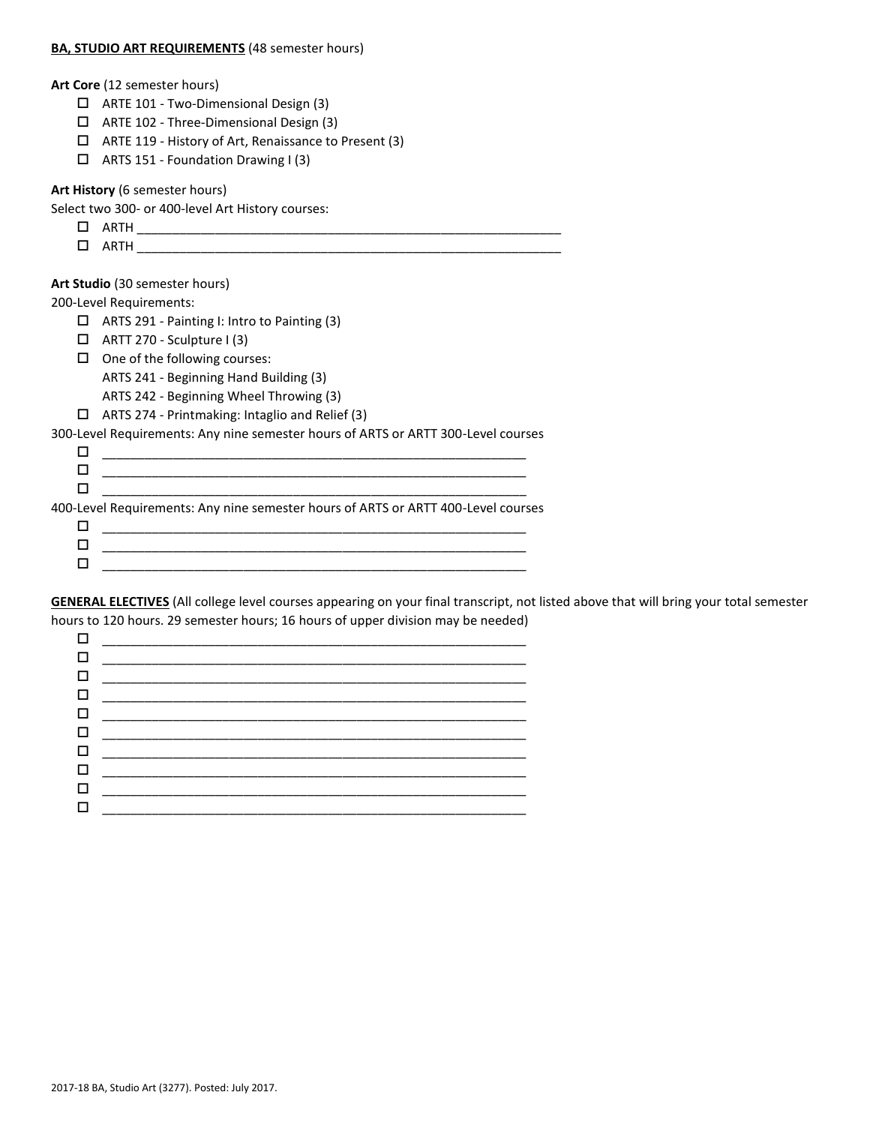#### **BA, STUDIO ART REQUIREMENTS** (48 semester hours)

| Art Core (12 semester hours) |
|------------------------------|
|------------------------------|

- ARTE 101 Two-Dimensional Design (3)
- ARTE 102 Three-Dimensional Design (3)
- ARTE 119 History of Art, Renaissance to Present (3)
- $\Box$  ARTS 151 Foundation Drawing I (3)

#### **Art History** (6 semester hours)

Select two 300- or 400-level Art History courses:

- $\square$  ARTH
- ARTH \_\_\_\_\_\_\_\_\_\_\_\_\_\_\_\_\_\_\_\_\_\_\_\_\_\_\_\_\_\_\_\_\_\_\_\_\_\_\_\_\_\_\_\_\_\_\_\_\_\_\_\_\_\_\_\_\_\_\_\_

# **Art Studio** (30 semester hours)

200-Level Requirements:

- ARTS 291 Painting I: Intro to Painting (3)
- $\Box$  ARTT 270 Sculpture I (3)
- $\Box$  One of the following courses:
	- ARTS 241 Beginning Hand Building (3)
	- ARTS 242 Beginning Wheel Throwing (3)
- ARTS 274 Printmaking: Intaglio and Relief (3)

300-Level Requirements: Any nine semester hours of ARTS or ARTT 300-Level courses

| 400-Level Requirements: Any nine semester hours of ARTS or ARTT 400-Level courses |
|-----------------------------------------------------------------------------------|
|                                                                                   |
|                                                                                   |
|                                                                                   |
|                                                                                   |

**GENERAL ELECTIVES** (All college level courses appearing on your final transcript, not listed above that will bring your total semester hours to 120 hours. 29 semester hours; 16 hours of upper division may be needed)